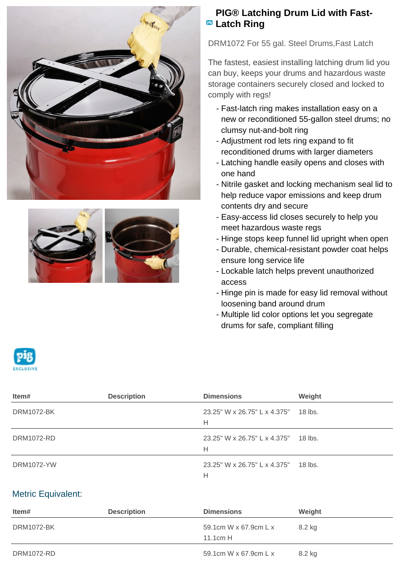



## **PIG® Latching Drum Lid with Fast-PB** Latch Ring

DRM1072 For 55 gal. Steel Drums,Fast Latch

The fastest, easiest installing latching drum lid you can buy, keeps your drums and hazardous waste storage containers securely closed and locked to comply with regs!

- Fast-latch ring makes installation easy on a new or reconditioned 55-gallon steel drums; no clumsy nut-and-bolt ring
- Adjustment rod lets ring expand to fit reconditioned drums with larger diameters
- Latching handle easily opens and closes with one hand
- Nitrile gasket and locking mechanism seal lid to help reduce vapor emissions and keep drum contents dry and secure
- Easy-access lid closes securely to help you meet hazardous waste regs
- Hinge stops keep funnel lid upright when open
- Durable, chemical-resistant powder coat helps ensure long service life
- Lockable latch helps prevent unauthorized access
- Hinge pin is made for easy lid removal without loosening band around drum
- Multiple lid color options let you segregate drums for safe, compliant filling

| Item#             | <b>Description</b> | <b>Dimensions</b>                 | Weight  |
|-------------------|--------------------|-----------------------------------|---------|
| <b>DRM1072-BK</b> |                    | 23.25" W x 26.75" L x 4.375"<br>н | 18 lbs. |
| <b>DRM1072-RD</b> |                    | 23.25" W x 26.75" L x 4.375"<br>н | 18 lbs. |
| <b>DRM1072-YW</b> |                    | 23.25" W x 26.75" L x 4.375"<br>H | 18 lbs. |

## Metric Equivalent:

| ltem#             | <b>Description</b> | <b>Dimensions</b>                   | Weight |
|-------------------|--------------------|-------------------------------------|--------|
| <b>DRM1072-BK</b> |                    | 59.1cm W x 67.9cm L x<br>$11.1cm$ H | 8.2 kg |
| DRM1072-RD        |                    | 59.1cm W x 67.9cm L x               | 8.2 kg |